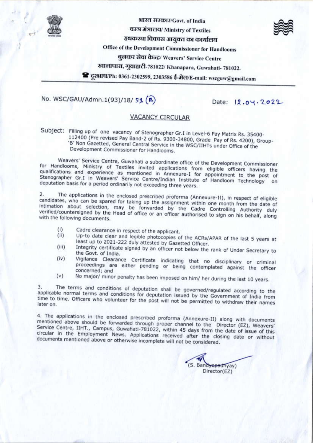

भारत सरकार/Govt. of India

वश्त्र मंत्रालय/ Ministry of Textiles



हथकरघा विकास आयुवत का कार्यालय

Office of the Development Commissioner for Handlooms

बलकर सेवा केन्द्र/ Weavers' Service Centre

ख्यालापाश, गुवाहाटी-781022/ Khanapara, Guwahati- 781022.

वि दूरआच/Ph: 0361-2302599, 2303586 ई-मेल/E-mail: wscguw@gmail.com

# No. WSC/GAU/Admn.1(93)/18/ S1 (B)

Date: 12.04.2022

## **VACANCY CIRCULAR**

Subject: Filling up of one vacancy of Stenographer Gr.I in Level-6 Pay Matrix Rs. 35400-112400 (Pre revised Pay Band-2 of Rs. 9300-34800, Grade Pay of Rs. 4200), Group-'B' Non Gazetted, General Central Service in the WSC/IIHTs under Office of the Development Commissioner for Handlooms.

Weavers' Service Centre, Guwahati a subordinate office of the Development Commissioner for Handlooms, Ministry of Textiles invited applications from eligible officers having the qualifications and experience as mentioned in Annexure-I for appointment to the post of Stenographer Gr.I in Weavers' Service Centre/Indian Institute of Handloom Technology on deputation basis for a period ordinarily not exceeding three years.

The applications in the enclosed prescribed proforma (Annexure-II), in respect of eligible  $2.$ candidates, who can be spared for taking up the assignment within one month from the date of intimation about selection, may be forwarded by the Cadre Controlling Authority duly verified/countersigned by the Head of office or an officer authorised to sign on his behalf, along with the following documents.

- Cadre clearance in respect of the applicant.  $(i)$
- Up-to date clear and legible photocopies of the ACRs/APAR of the last 5 years at  $(ii)$ least up to 2021-222 duly attested by Gazetted Officer.  $(iii)$
- Integrity certificate signed by an officer not below the rank of Under Secretary to the Govt. of India.  $(iv)$
- Vigilance Clearance Certificate indicating that no disciplinary or criminal proceedings are either pending or being contemplated against the officer concerned; and
- No major/ minor penalty has been imposed on him/ her during the last 10 years.  $(v)$

The terms and conditions of deputation shall be governed/regulated according to the 3. applicable normal terms and conditions for deputation issued by the Government of India from time to time. Officers who volunteer for the post will not be permitted to withdraw their names later on.

4. The applications in the enclosed prescribed proforma (Annexure-II) along with documents mentioned above should be forwarded through proper channel to the Director (EZ), Weavers' Service Centre, IIHT., Campus, Guwahati-781022, within 45 days from the date of issue of this circular in the Employment News. Applications received after the closing date or without documents mentioned above or otherwise incomplete will not be considered.

(S. Bandyopadhyay) Director(EZ)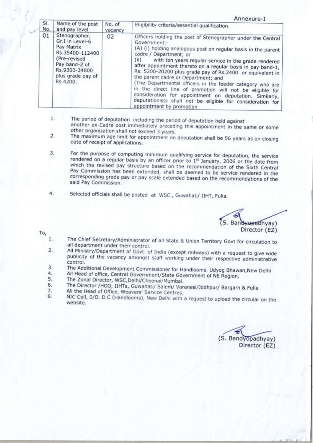Annexure-T

|            |                                                                                                                                                      | No. of<br>vacancy<br>02 |                                                                                                                                                                                                                                                                                                                                                                                                                                                                                                                                                                                                                                                                                         |  |  |
|------------|------------------------------------------------------------------------------------------------------------------------------------------------------|-------------------------|-----------------------------------------------------------------------------------------------------------------------------------------------------------------------------------------------------------------------------------------------------------------------------------------------------------------------------------------------------------------------------------------------------------------------------------------------------------------------------------------------------------------------------------------------------------------------------------------------------------------------------------------------------------------------------------------|--|--|
| SI.<br>No. | Name of the post<br>and pay level.                                                                                                                   |                         | Eligibility criteria/essential qualification.                                                                                                                                                                                                                                                                                                                                                                                                                                                                                                                                                                                                                                           |  |  |
| 01         | Stenographer,<br>Gr.I in Level-6<br>Pay Matrix<br>Rs.35400-112400<br>(Pre-revised<br>Pay band-2 of<br>Rs.9300-34800<br>plus grade pay of<br>Rs.4200. |                         | Officers holding the post of Stenographer under the Central<br>Government:-<br>(A) (i) holding analogous post on regular basis in the parent<br>cadre / Department; or<br>(ii)<br>with ten years regular service in the grade rendered<br>after appointment thereto on a regular basis in pay band-1,<br>Rs. 5200-20200 plus grade pay of Rs.2400 or equivalent in<br>the parent cadre or Department; and<br>(The Departmental officers in the feeder category who are<br>in the direct line of promotion will not be eligible for<br>consideration for appointment on deputation. Similarly,<br>deputationists shall not be eligible for consideration for<br>appointment by promotion |  |  |

- $1.$ The period of deputation including the period of deputation held against another ex-Cadre post immediately preceding this appointment in the same or some other organization shall not exceed 3 years.
- The maximum age limit for appointment on deputation shall be 56 years as on closing 2. date of receipt of applications.
- For the purpose of computing minimum qualifying service for deputation, the service 3. rendered on a regular basis by an officer prior to 1st January, 2006 or the date from which the revised pay structure based on the recommendation of the Sixth Central Pay Commission has been extended, shall be deemed to be service rendered in the corresponding grade pay or pay scale extended based on the recommendations of the said Pay Commission.
- 4. Selected officials shall be posted at WSC., Guwahati/ IIHT, Fulia.

(S. Bandwopadhyay) Director (EZ)

To,

- The Chief Secretary/Administrator of all State & Union Territory Govt for circulation to  $1.$ all department under their control.
- $2.$ All Ministry/Department of Govt. of India (except railways) with a request to give wide publicity of the vacancy amongst staff working under their respective administrative control.
- The Additional Development Commissioner for Handlooms. Udyog Bhawan, New Delhi 3.
- All Head of office, Central Government/State Government of NE Region. 4.
- 5. The Zonal Director, WSC, Delhi/Cheenai/Mumbai.
- The Director /HOO, IIHTs, Guwahati/ Salem/ Varanasi/Jodhpur/ Bargarh & Fulia 6. 7.
- All the Head of Office, Weavers' Service Centres.
- 8. NIC Cell, 0/O. D C (Handlooms), New Delhi with a request to upload the circular on the website.

(S. Bandyopadhyay) Director (EZ)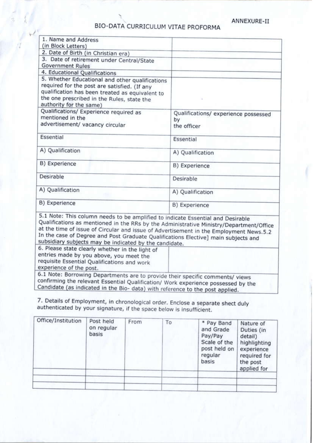## BIO-DATA CURRICULUM VITAE PROFORMA

| 1. Name and Address                                                                                                                                                                                                         |                                      |
|-----------------------------------------------------------------------------------------------------------------------------------------------------------------------------------------------------------------------------|--------------------------------------|
| (in Block Letters)                                                                                                                                                                                                          |                                      |
| 2. Date of Birth (in Christian era)                                                                                                                                                                                         |                                      |
| 3. Date of retirement under Central/State                                                                                                                                                                                   |                                      |
| <b>Government Rules</b>                                                                                                                                                                                                     |                                      |
| 4. Educational Qualifications                                                                                                                                                                                               |                                      |
| 5. Whether Educational and other qualifications<br>required for the post are satisfied. (If any<br>qualification has been treated as equivalent to<br>the one prescribed in the Rules, state the<br>authority for the same) |                                      |
| Qualifications/ Experience required as<br>mentioned in the                                                                                                                                                                  | Qualifications/ experience possessed |
| advertisement/ vacancy circular                                                                                                                                                                                             | by<br>the officer                    |
| Essential                                                                                                                                                                                                                   | Essential                            |
| A) Qualification                                                                                                                                                                                                            | A) Qualification                     |
| B) Experience                                                                                                                                                                                                               | B) Experience                        |
| Desirable                                                                                                                                                                                                                   | Desirable                            |
| A) Qualification                                                                                                                                                                                                            | A) Qualification                     |
| B) Experience                                                                                                                                                                                                               | B) Experience                        |

subsidiary subjects may be indicated by the candidate. 6. Please state clearly whether in the light of entries made by you above, you meet the requisite Essential Qualifications and work experience of the post.

6.1 Note: Borrowing Departments are to provide their specific comments/ views confirming the relevant Essential Qualification/ Work experience possessed by the Candidate (as indicated in the Bio- data) with reference to the post applied.

7. Details of Employment, in chronological order. Enclose a separate shect duly authenticated by your signature, if the space below is insufficient.

| Office/Institution | Post held<br>on regular<br>basis | From | To | * Pay Band<br>and Grade<br>Pay/Pay<br>Scale of the<br>post held on<br>regular<br>basis | Nature of<br>Duties (in<br>detail)<br>highlighting<br>experience<br>required for<br>the post<br>applied for |
|--------------------|----------------------------------|------|----|----------------------------------------------------------------------------------------|-------------------------------------------------------------------------------------------------------------|
|                    |                                  |      |    |                                                                                        |                                                                                                             |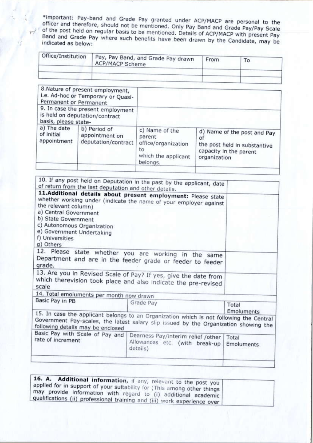\*important: Pay-band and Grade Pay granted under ACP/MACP are personal to the officer and therefore, should not be mentioned. Only Pay Band and Grade Pay/Pay Scale of the post held on regular basis to be mentioned. Details of ACP/MACP with present Pay Band and Grade Pay where such benefits have been drawn by the Candidate, may be indicated as below:

| Office/Institution | Pay, Pay Band, and Grade Pay drawn<br>ACP/MACP Scheme | From | To |  |
|--------------------|-------------------------------------------------------|------|----|--|
|                    |                                                       |      |    |  |

| b) Period of<br>appointment on<br>deputation/contract | c) Name of the<br>parent<br>office/organization<br>to<br>which the applicant<br>belongs.                                                                                                        | d) Name of the post and Pay<br>Οf<br>the post held in substantive<br>capacity in the parent<br>organization |
|-------------------------------------------------------|-------------------------------------------------------------------------------------------------------------------------------------------------------------------------------------------------|-------------------------------------------------------------------------------------------------------------|
|                                                       | 8. Nature of present employment,<br>i.e. Ad-hoc or Temporary or Quasi-<br>Permanent or Permanent<br>9. In case the present employment<br>is held on deputation/contract<br>basis, please state- |                                                                                                             |

| 10. If any post held on Deputation in the past by the applicant, date<br>of return from the last deputation and other details.<br>11.Additional details about present employment: Please state<br>whether working under (indicate the name of your employer against |                                                                                                                                                                                                                                                                                                                                                                           |
|---------------------------------------------------------------------------------------------------------------------------------------------------------------------------------------------------------------------------------------------------------------------|---------------------------------------------------------------------------------------------------------------------------------------------------------------------------------------------------------------------------------------------------------------------------------------------------------------------------------------------------------------------------|
|                                                                                                                                                                                                                                                                     |                                                                                                                                                                                                                                                                                                                                                                           |
|                                                                                                                                                                                                                                                                     |                                                                                                                                                                                                                                                                                                                                                                           |
| 12. Please state whether you are working in the same<br>Department and are in the feeder grade or feeder to feeder                                                                                                                                                  |                                                                                                                                                                                                                                                                                                                                                                           |
|                                                                                                                                                                                                                                                                     |                                                                                                                                                                                                                                                                                                                                                                           |
|                                                                                                                                                                                                                                                                     |                                                                                                                                                                                                                                                                                                                                                                           |
|                                                                                                                                                                                                                                                                     | Total<br>Emoluments                                                                                                                                                                                                                                                                                                                                                       |
| Government Pay-scales, the latest salary slip issued by the Organization showing the                                                                                                                                                                                |                                                                                                                                                                                                                                                                                                                                                                           |
|                                                                                                                                                                                                                                                                     | Total<br><b>Emoluments</b>                                                                                                                                                                                                                                                                                                                                                |
|                                                                                                                                                                                                                                                                     | 13. Are you in Revised Scale of Pay? If yes, give the date from<br>which therevision took place and also indicate the pre-revised<br>14. Total emoluments per month now drawn<br>Grade Pay<br>15. In case the applicant belongs to an Organization which is not following the Central<br>Dearness Pay/interim relief /other<br>Allowances etc. (with break-up<br>details) |

| 16. A. Additional information, if any, relevant to the post you<br>applied for in support of your suitability for (This among other things )<br>may provide information with regard to (i) additional academic<br>qualifications (ii) professional training and (iii) work experience over |  |
|--------------------------------------------------------------------------------------------------------------------------------------------------------------------------------------------------------------------------------------------------------------------------------------------|--|
|--------------------------------------------------------------------------------------------------------------------------------------------------------------------------------------------------------------------------------------------------------------------------------------------|--|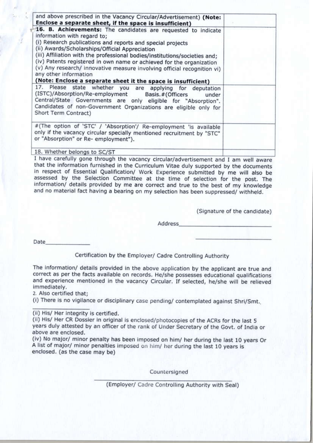| and above prescribed in the Vacancy Circular/Advertisement) (Note:<br>Enclose a separate sheet, if the space is insufficient)                                                                                                                                                                                                                                                                                                                                                                                                           |  |
|-----------------------------------------------------------------------------------------------------------------------------------------------------------------------------------------------------------------------------------------------------------------------------------------------------------------------------------------------------------------------------------------------------------------------------------------------------------------------------------------------------------------------------------------|--|
| 16. B. Achievements: The candidates are requested to indicate<br>information with regard to;<br>(i) Research publications and reports and special projects<br>(ii) Awards/Scholarships/Official Appreciation<br>(iii) Affiliation with the professional bodies/institutions/societies and;<br>(iv) Patents registered in own name or achieved for the organization<br>(v) Any research/ innovative measure involving official recognition vi)<br>any other information<br>(Note: Enclose a separate sheet it the space is insufficient) |  |
| 17. Please state whether you are applying for deputation<br>(ISTC)/Absorption/Re-employment Basis.#(Officers<br>under<br>Central/State Governments are only eligible for "Absorption".<br>Candidates of non-Government Organizations are eligible only for<br>Short Term Contract)                                                                                                                                                                                                                                                      |  |
| #(The option of 'STC' / 'Absorption'/ Re-employment 'is available<br>only if the vacancy circular specially mentioned recruitment by "STC"<br>or "Absorption" or Re- employment").                                                                                                                                                                                                                                                                                                                                                      |  |
| 18. Whether belongs to SC/ST                                                                                                                                                                                                                                                                                                                                                                                                                                                                                                            |  |

I have carefully gone through the vacancy circular/advertisement and I am well aware that the information furnished in the Curriculum Vitae duly supported by the documents in respect of Essential Qualification/ Work Experience submitted by me will also be assessed by the Selection Committee at the time of selection for the post. The information/ details provided by me are correct and true to the best of my knowledge and no material fact having a bearing on my selection has been suppressed/ withheld.

(Signature of the candidate)

Address

Date

Certification by the Employer/ Cadre Controlling Authority

The information/ details provided in the above application by the applicant are true and correct as per the facts available on records. He/she possesses educational qualifications and experience mentioned in the vacancy Circular. If selected, he/she will be relieved immediately.

2. Also certified that;

(i) There is no vigilance or disciplinary case pending/ contemplated against Shri/Smt.

(ii) His/ Her integrity is certified.

(ii) His/ Her CR Dossier in original is enclosed/photocopies of the ACRs for the last 5 years duly attested by an officer of the rank of Under Secretary of the Govt. of India or above are enclosed.

(iv) No major/ minor penalty has been imposed on him/ her during the last 10 years Or A list of major/ minor penalties imposed on him/ her during the last 10 years is enclosed. (as the case may be)

Countersigned

(Employer/ Cadre Controlling Authority with Seal)